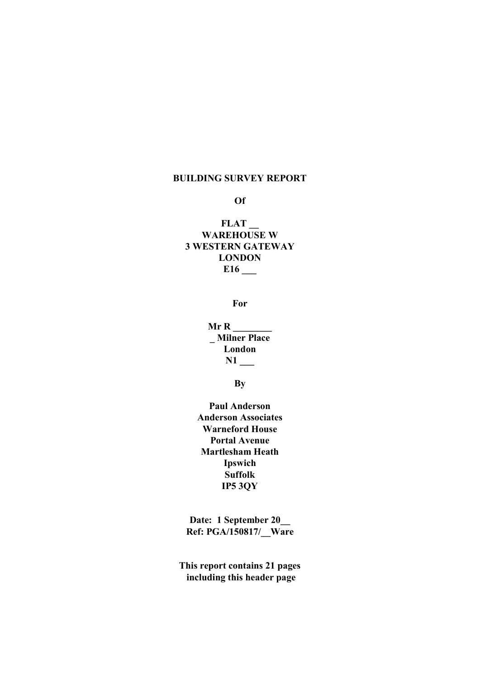#### BUILDING SURVEY REPORT

#### Of

## FLAT WAREHOUSE W 3 WESTERN GATEWAY LONDON E16 \_\_\_

For

 $Mr R$ \_ Milner Place London N1

**B**<sub>v</sub>

Paul Anderson Anderson Associates Warneford House Portal Avenue Martlesham Heath Ipswich Suffolk IP5 3QY

Date: 1 September 20 Ref: PGA/150817/\_\_Ware

This report contains 21 pages including this header page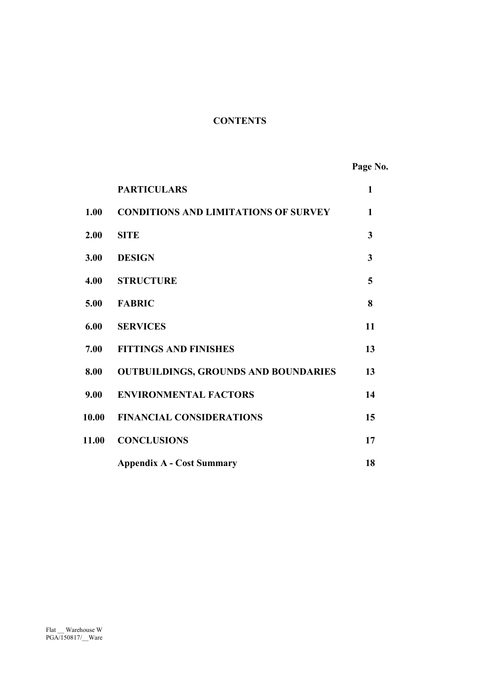## **CONTENTS**

Page No.

|       | <b>PARTICULARS</b>                          | $\mathbf{1}$ |
|-------|---------------------------------------------|--------------|
| 1.00  | <b>CONDITIONS AND LIMITATIONS OF SURVEY</b> | $\mathbf{1}$ |
| 2.00  | <b>SITE</b>                                 | 3            |
| 3.00  | <b>DESIGN</b>                               | 3            |
| 4.00  | <b>STRUCTURE</b>                            | 5            |
| 5.00  | <b>FABRIC</b>                               | 8            |
| 6.00  | <b>SERVICES</b>                             | 11           |
| 7.00  | <b>FITTINGS AND FINISHES</b>                | 13           |
| 8.00  | <b>OUTBUILDINGS, GROUNDS AND BOUNDARIES</b> | 13           |
| 9.00  | <b>ENVIRONMENTAL FACTORS</b>                | 14           |
| 10.00 | <b>FINANCIAL CONSIDERATIONS</b>             | 15           |
| 11.00 | <b>CONCLUSIONS</b>                          | 17           |
|       | <b>Appendix A - Cost Summary</b>            | 18           |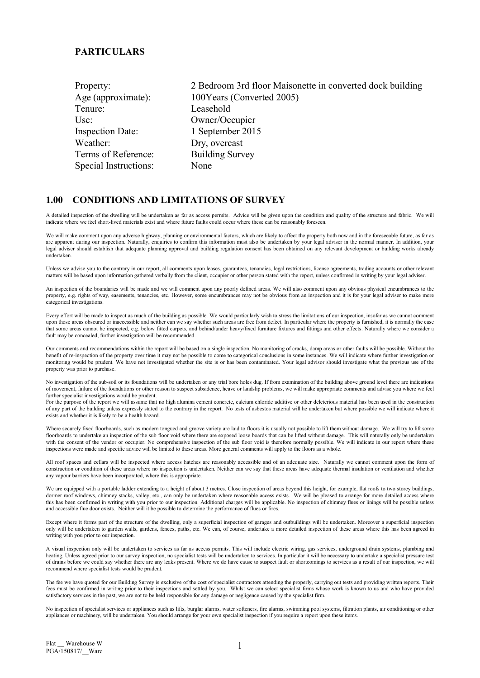#### **PARTICULARS**

| 2 Bedroom 3rd floor Maisonette in converted dock building |
|-----------------------------------------------------------|
| 100Years (Converted 2005)                                 |
| Leasehold                                                 |
| Owner/Occupier                                            |
| 1 September 2015                                          |
| Dry, overcast                                             |
| <b>Building Survey</b>                                    |
| None                                                      |
|                                                           |

#### 1.00 CONDITIONS AND LIMITATIONS OF SURVEY

A detailed inspection of the dwelling will be undertaken as far as access permits. Advice will be given upon the condition and quality of the structure and fabric. We will indicate where we feel short-lived materials exist and where future faults could occur where these can be reasonably foreseen.

We will make comment upon any adverse highway, planning or environmental factors, which are likely to affect the property both now and in the foreseeable future, as far as are apparent during our inspection. Naturally, enquiries to confirm this information must also be undertaken by your legal adviser in the normal manner. In addition, your legal adviser should establish that adequate planning approval and building regulation consent has been obtained on any relevant development or building works already undertaken.

Unless we advise you to the contrary in our report, all comments upon leases, guarantees, tenancies, legal restrictions, license agreements, trading accounts or other relevant matters will be based upon information gathered verbally from the client, occupier or other person stated with the report, unless confirmed in writing by your legal adviser.

An inspection of the boundaries will be made and we will comment upon any poorly defined areas. We will also comment upon any obvious physical encumbrances to the property, e.g. rights of way, easements, tenancies, etc. However, some encumbrances may not be obvious from an inspection and it is for your legal adviser to make more categorical investigations.

Every effort will be made to inspect as much of the building as possible. We would particularly wish to stress the limitations of our inspection, insofar as we cannot comment upon those areas obscured or inaccessible and neither can we say whether such areas are free from defect. In particular where the property is furnished, it is normally the case that some areas cannot he inspected, e.g. below fitted carpets, and behind/under heavy/fixed furniture fixtures and fittings and other effects. Naturally where we consider a fault may be concealed, further investigation will be recommended.

Our comments and recommendations within the report will be based on a single inspection. No monitoring of cracks, damp areas or other faults will be possible. Without the benefit of re-inspection of the property over time it may not be possible to come to categorical conclusions in some instances. We will indicate where further investigation or monitoring would be prudent. We have not investigated whether the site is or has been contaminated. Your legal advisor should investigate what the previous use of the property was prior to purchase.

No investigation of the sub-soil or its foundations will be undertaken or any trial bore holes dug. If from examination of the building above ground level there are indications of movement, failure of the foundations or other reason to suspect subsidence, heave or landslip problems, we will make appropriate comments and advise you where we feel further specialist investigations would be prudent.

For the purpose of the report we will assume that no high alumina cement concrete, calcium chloride additive or other deleterious material has been used in the construction of any part of the building unless expressly stated to the contrary in the report. No tests of asbestos material will he undertaken but where possible we will indicate where it exists and whether it is likely to be a health hazard.

Where securely fixed floorboards, such as modern tongued and groove variety are laid to floors it is usually not possible to lift them without damage. We will try to lift some floorboards to undertake an inspection of the sub floor void where there are exposed loose boards that can be lifted without damage. This will naturally only be undertaken with the consent of the vendor or occupier. No comprehensive inspection of the sub floor void is therefore normally possible. We will indicate in our report where these inspections were made and specific advice will be limited to these areas. More general comments will apply to the floors as a whole.

All roof spaces and cellars will be inspected where access hatches are reasonably accessible and of an adequate size. Naturally we cannot comment upon the form of construction or condition of these areas where no inspection is undertaken. Neither can we say that these areas have adequate thermal insulation or ventilation and whether any vapour barriers have been incorporated, where this is appropriate.

We are equipped with a portable ladder extending to a height of about 3 metres. Close inspection of areas beyond this height, for example, flat roofs to two storey buildings, dormer roof windows, chimney stacks, valley, etc., can only be undertaken where reasonable access exists. We will be pleased to arrange for more detailed access where this has been confirmed in writing with you prior to our inspection. Additional charges will be applicable. No inspection of chimney flues or linings will be possible unless and accessible flue door exists. Neither will it be possible to determine the performance of flues or fires.

Except where it forms part of the structure of the dwelling, only a superficial inspection of garages and outbuildings will be undertaken. Moreover a superficial inspection only will be undertaken to garden walls, gardens, fences, paths, etc. We can, of course, undertake a more detailed inspection of these areas where this has been agreed in writing with you prior to our inspection.

A visual inspection only will be undertaken to services as far as access permits. This will include electric wiring, gas services, underground drain systems, plumbing and heating. Unless agreed prior to our survey inspection, no specialist tests will be undertaken to services. In particular it will be necessary to undertake a specialist pressure test of drains before we could say whether there are any leaks present. Where we do have cause to suspect fault or shortcomings to services as a result of our inspection, we will recommend where specialist tests would be prudent.

The fee we have quoted for our Building Survey is exclusive of the cost of specialist contractors attending the properly, carrying out tests and providing written reports. Their fees must be confirmed in writing prior to their inspections and settled by you. Whilst we can select specialist firms whose work is known to us and who have provided satisfactory services in the past, we are not to be held responsible for any damage or negligence caused by the specialist firm.

No inspection of specialist services or appliances such as lifts, burglar alarms, water softeners, fire alarms, swimming pool systems, filtration plants, air conditioning or other appliances or machinery, will be undertaken. You should arrange for your own specialist inspection if you require a report upon these items.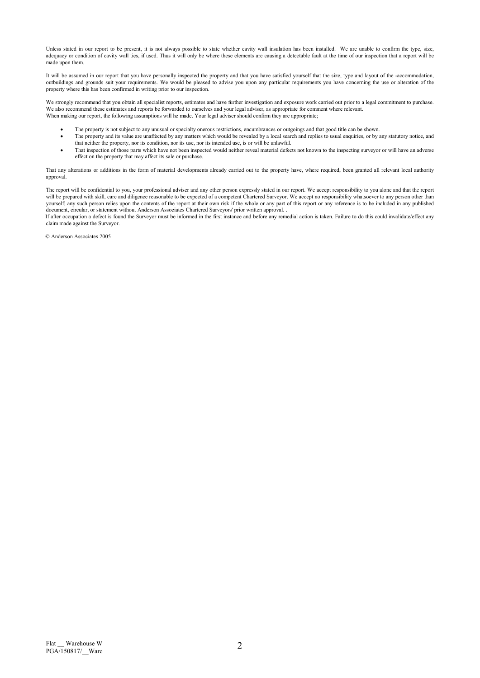Unless stated in our report to be present, it is not always possible to state whether cavity wall insulation has been installed. We are unable to confirm the type, size, adequacy or condition of cavity wall ties, if used. Thus it will only be where these elements are causing a detectable fault at the time of our inspection that a report will be made upon them.

It will be assumed in our report that you have personally inspected the property and that you have satisfied yourself that the size, type and layout of the -accommodation, outbuildings and grounds suit your requirements. We would be pleased to advise you upon any particular requirements you have concerning the use or alteration of the property where this has been confirmed in writing prior to our inspection.

We strongly recommend that you obtain all specialist reports, estimates and have further investigation and exposure work carried out prior to a legal commitment to purchase. We also recommend these estimates and reports be forwarded to ourselves and your legal adviser, as appropriate for comment where relevant. When making our report, the following assumptions will he made. Your legal adviser should confirm they are appropriate;

- The property is not subject to any unusual or specialty onerous restrictions, encumbrances or outgoings and that good title can be shown.
- The property and its value are unaffected by any matters which would be revealed by a local search and replies to usual enquiries, or by any statutory notice, and that neither the property, nor its condition, nor its use, nor its intended use, is or will be unlawful.
- That inspection of those parts which have not been inspected would neither reveal material defects not known to the inspecting surveyor or will have an adverse effect on the property that may affect its sale or purchase.

That any alterations or additions in the form of material developments already carried out to the property have, where required, been granted all relevant local authority approval.

The report will be confidential to you, your professional adviser and any other person expressly stated in our report. We accept responsibility to you alone and that the report will be prepared with skill, care and diligence reasonable to be expected of a competent Chartered Surveyor. We accept no responsibility whatsoever to any person other than yourself; any such person relies upon the contents of the report at their own risk if the whole or any part of this report or any reference is to be included in any published document, circular, or statement without Anderson Associates Chartered Surveyors' prior written approval. .

If after occupation a defect is found the Surveyor must be informed in the first instance and before any remedial action is taken. Failure to do this could invalidate/effect any claim made against the Surveyor.

© Anderson Associates 2005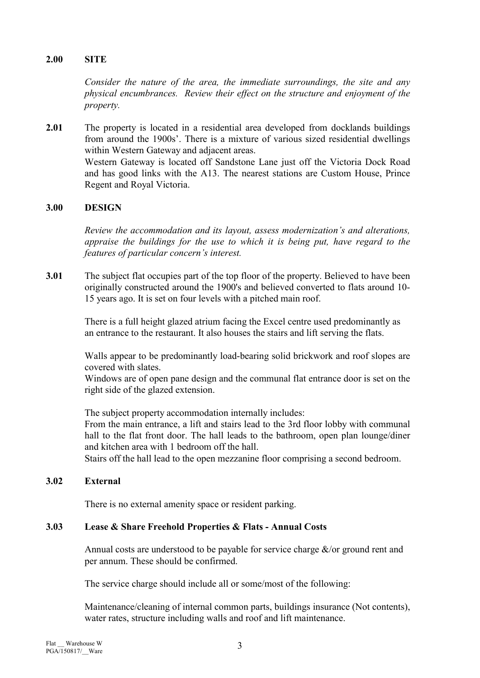## 2.00 SITE

Consider the nature of the area, the immediate surroundings, the site and any physical encumbrances. Review their effect on the structure and enjoyment of the property.

2.01 The property is located in a residential area developed from docklands buildings from around the 1900s'. There is a mixture of various sized residential dwellings within Western Gateway and adjacent areas. Western Gateway is located off Sandstone Lane just off the Victoria Dock Road and has good links with the A13. The nearest stations are Custom House, Prince Regent and Royal Victoria.

## 3.00 DESIGN

Review the accommodation and its layout, assess modernization's and alterations, appraise the buildings for the use to which it is being put, have regard to the features of particular concern's interest.

3.01 The subject flat occupies part of the top floor of the property. Believed to have been originally constructed around the 1900's and believed converted to flats around 10- 15 years ago. It is set on four levels with a pitched main roof.

> There is a full height glazed atrium facing the Excel centre used predominantly as an entrance to the restaurant. It also houses the stairs and lift serving the flats.

Walls appear to be predominantly load-bearing solid brickwork and roof slopes are covered with slates.

Windows are of open pane design and the communal flat entrance door is set on the right side of the glazed extension.

The subject property accommodation internally includes: From the main entrance, a lift and stairs lead to the 3rd floor lobby with communal hall to the flat front door. The hall leads to the bathroom, open plan lounge/diner and kitchen area with 1 bedroom off the hall. Stairs off the hall lead to the open mezzanine floor comprising a second bedroom.

# 3.02 External

There is no external amenity space or resident parking.

#### 3.03 Lease & Share Freehold Properties & Flats - Annual Costs

Annual costs are understood to be payable for service charge  $\&$ /or ground rent and per annum. These should be confirmed.

The service charge should include all or some/most of the following:

Maintenance/cleaning of internal common parts, buildings insurance (Not contents), water rates, structure including walls and roof and lift maintenance.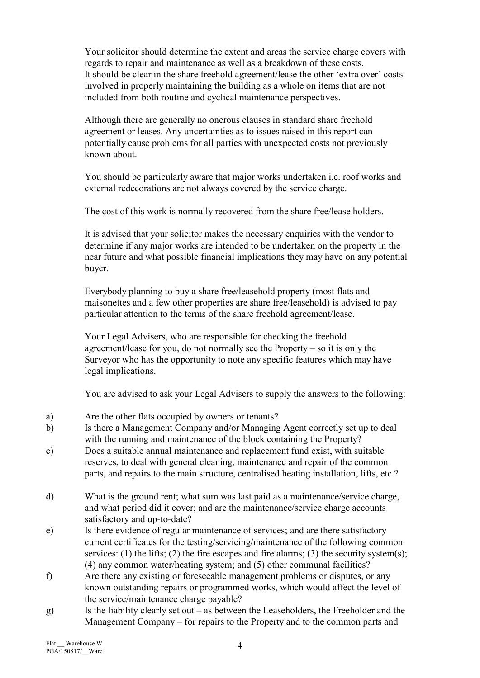Your solicitor should determine the extent and areas the service charge covers with regards to repair and maintenance as well as a breakdown of these costs. It should be clear in the share freehold agreement/lease the other 'extra over' costs involved in properly maintaining the building as a whole on items that are not included from both routine and cyclical maintenance perspectives.

Although there are generally no onerous clauses in standard share freehold agreement or leases. Any uncertainties as to issues raised in this report can potentially cause problems for all parties with unexpected costs not previously known about.

You should be particularly aware that major works undertaken i.e. roof works and external redecorations are not always covered by the service charge.

The cost of this work is normally recovered from the share free/lease holders.

It is advised that your solicitor makes the necessary enquiries with the vendor to determine if any major works are intended to be undertaken on the property in the near future and what possible financial implications they may have on any potential buyer.

Everybody planning to buy a share free/leasehold property (most flats and maisonettes and a few other properties are share free/leasehold) is advised to pay particular attention to the terms of the share freehold agreement/lease.

Your Legal Advisers, who are responsible for checking the freehold agreement/lease for you, do not normally see the Property – so it is only the Surveyor who has the opportunity to note any specific features which may have legal implications.

You are advised to ask your Legal Advisers to supply the answers to the following:

- a) Are the other flats occupied by owners or tenants?
- b) Is there a Management Company and/or Managing Agent correctly set up to deal with the running and maintenance of the block containing the Property?
- c) Does a suitable annual maintenance and replacement fund exist, with suitable reserves, to deal with general cleaning, maintenance and repair of the common parts, and repairs to the main structure, centralised heating installation, lifts, etc.?
- d) What is the ground rent; what sum was last paid as a maintenance/service charge, and what period did it cover; and are the maintenance/service charge accounts satisfactory and up-to-date?
- e) Is there evidence of regular maintenance of services; and are there satisfactory current certificates for the testing/servicing/maintenance of the following common services: (1) the lifts; (2) the fire escapes and fire alarms; (3) the security system(s); (4) any common water/heating system; and (5) other communal facilities?
- f) Are there any existing or foreseeable management problems or disputes, or any known outstanding repairs or programmed works, which would affect the level of the service/maintenance charge payable?
- g) Is the liability clearly set out as between the Leaseholders, the Freeholder and the Management Company – for repairs to the Property and to the common parts and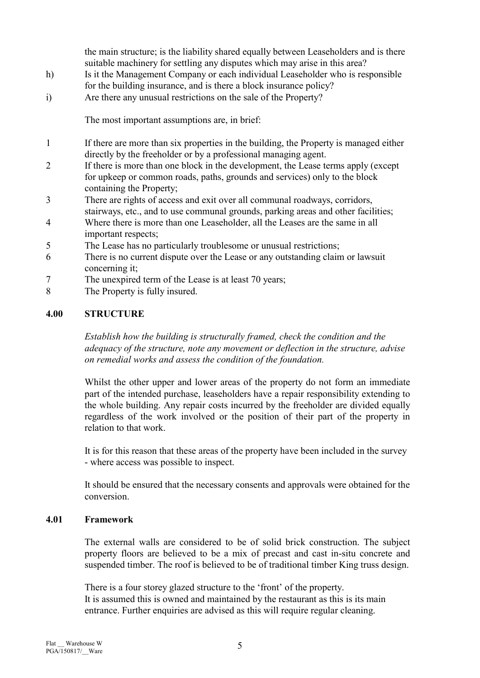the main structure; is the liability shared equally between Leaseholders and is there suitable machinery for settling any disputes which may arise in this area?

- h) Is it the Management Company or each individual Leaseholder who is responsible for the building insurance, and is there a block insurance policy?
- i) Are there any unusual restrictions on the sale of the Property?

The most important assumptions are, in brief:

- 1 If there are more than six properties in the building, the Property is managed either directly by the freeholder or by a professional managing agent.
- 2 If there is more than one block in the development, the Lease terms apply (except for upkeep or common roads, paths, grounds and services) only to the block containing the Property;
- 3 There are rights of access and exit over all communal roadways, corridors, stairways, etc., and to use communal grounds, parking areas and other facilities;
- 4 Where there is more than one Leaseholder, all the Leases are the same in all important respects;
- 5 The Lease has no particularly troublesome or unusual restrictions;
- 6 There is no current dispute over the Lease or any outstanding claim or lawsuit concerning it;
- 7 The unexpired term of the Lease is at least 70 years;
- 8 The Property is fully insured.

## 4.00 STRUCTURE

Establish how the building is structurally framed, check the condition and the adequacy of the structure, note any movement or deflection in the structure, advise on remedial works and assess the condition of the foundation.

 Whilst the other upper and lower areas of the property do not form an immediate part of the intended purchase, leaseholders have a repair responsibility extending to the whole building. Any repair costs incurred by the freeholder are divided equally regardless of the work involved or the position of their part of the property in relation to that work.

 It is for this reason that these areas of the property have been included in the survey - where access was possible to inspect.

 It should be ensured that the necessary consents and approvals were obtained for the conversion.

#### 4.01 Framework

The external walls are considered to be of solid brick construction. The subject property floors are believed to be a mix of precast and cast in-situ concrete and suspended timber. The roof is believed to be of traditional timber King truss design.

There is a four storey glazed structure to the 'front' of the property. It is assumed this is owned and maintained by the restaurant as this is its main entrance. Further enquiries are advised as this will require regular cleaning.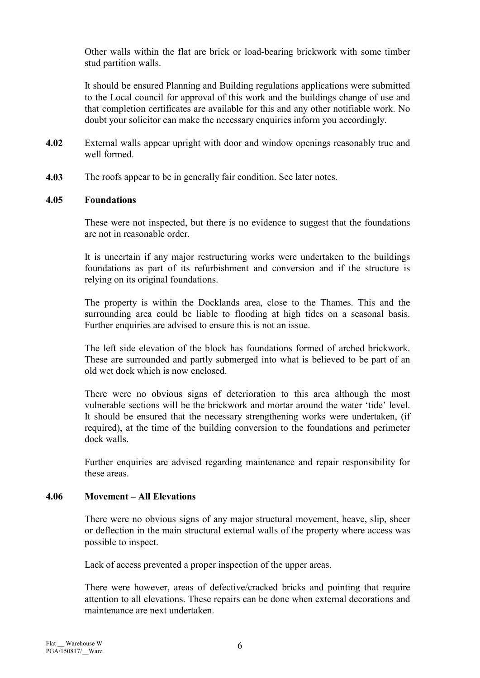Other walls within the flat are brick or load-bearing brickwork with some timber stud partition walls.

It should be ensured Planning and Building regulations applications were submitted to the Local council for approval of this work and the buildings change of use and that completion certificates are available for this and any other notifiable work. No doubt your solicitor can make the necessary enquiries inform you accordingly.

- 4.02 External walls appear upright with door and window openings reasonably true and well formed.
- 4.03 The roofs appear to be in generally fair condition. See later notes.

#### 4.05 Foundations

These were not inspected, but there is no evidence to suggest that the foundations are not in reasonable order.

 It is uncertain if any major restructuring works were undertaken to the buildings foundations as part of its refurbishment and conversion and if the structure is relying on its original foundations.

 The property is within the Docklands area, close to the Thames. This and the surrounding area could be liable to flooding at high tides on a seasonal basis. Further enquiries are advised to ensure this is not an issue.

 The left side elevation of the block has foundations formed of arched brickwork. These are surrounded and partly submerged into what is believed to be part of an old wet dock which is now enclosed.

 There were no obvious signs of deterioration to this area although the most vulnerable sections will be the brickwork and mortar around the water 'tide' level. It should be ensured that the necessary strengthening works were undertaken, (if required), at the time of the building conversion to the foundations and perimeter dock walls.

 Further enquiries are advised regarding maintenance and repair responsibility for these areas.

#### 4.06 Movement – All Elevations

There were no obvious signs of any major structural movement, heave, slip, sheer or deflection in the main structural external walls of the property where access was possible to inspect.

Lack of access prevented a proper inspection of the upper areas.

There were however, areas of defective/cracked bricks and pointing that require attention to all elevations. These repairs can be done when external decorations and maintenance are next undertaken.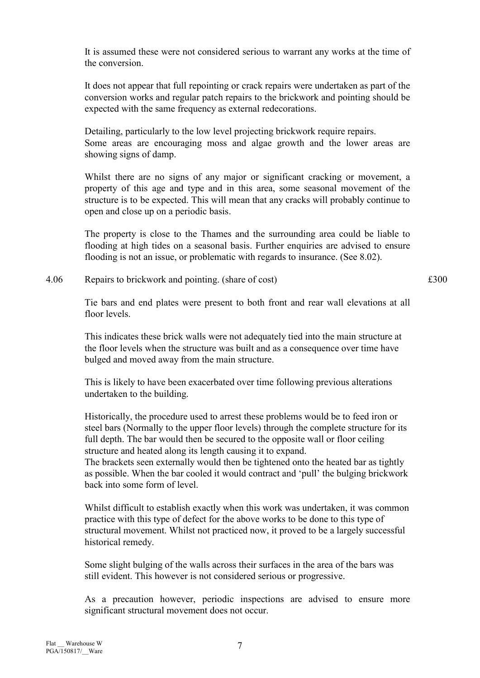It is assumed these were not considered serious to warrant any works at the time of the conversion.

It does not appear that full repointing or crack repairs were undertaken as part of the conversion works and regular patch repairs to the brickwork and pointing should be expected with the same frequency as external redecorations.

Detailing, particularly to the low level projecting brickwork require repairs. Some areas are encouraging moss and algae growth and the lower areas are showing signs of damp.

Whilst there are no signs of any major or significant cracking or movement, a property of this age and type and in this area, some seasonal movement of the structure is to be expected. This will mean that any cracks will probably continue to open and close up on a periodic basis.

 The property is close to the Thames and the surrounding area could be liable to flooding at high tides on a seasonal basis. Further enquiries are advised to ensure flooding is not an issue, or problematic with regards to insurance. (See 8.02).

4.06 Repairs to brickwork and pointing. (share of cost)  $\text{\pounds}300$ 

Tie bars and end plates were present to both front and rear wall elevations at all floor levels.

This indicates these brick walls were not adequately tied into the main structure at the floor levels when the structure was built and as a consequence over time have bulged and moved away from the main structure.

This is likely to have been exacerbated over time following previous alterations undertaken to the building.

Historically, the procedure used to arrest these problems would be to feed iron or steel bars (Normally to the upper floor levels) through the complete structure for its full depth. The bar would then be secured to the opposite wall or floor ceiling structure and heated along its length causing it to expand. The brackets seen externally would then be tightened onto the heated bar as tightly as possible. When the bar cooled it would contract and 'pull' the bulging brickwork back into some form of level.

Whilst difficult to establish exactly when this work was undertaken, it was common practice with this type of defect for the above works to be done to this type of structural movement. Whilst not practiced now, it proved to be a largely successful historical remedy.

Some slight bulging of the walls across their surfaces in the area of the bars was still evident. This however is not considered serious or progressive.

 As a precaution however, periodic inspections are advised to ensure more significant structural movement does not occur.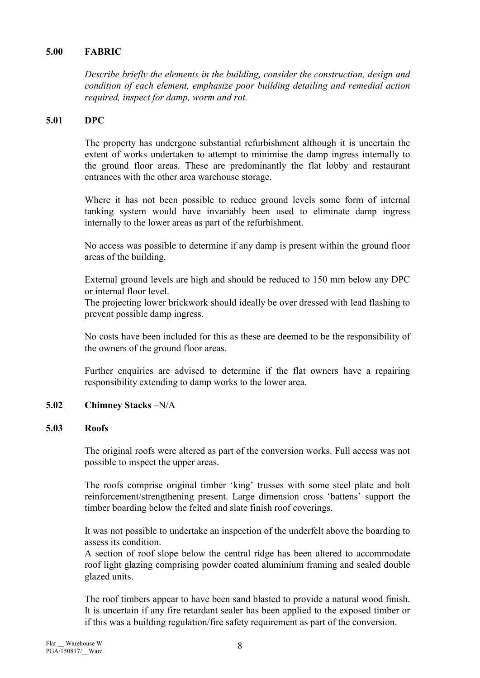## 5.00 FABRIC

Describe briefly the elements in the building, consider the construction, design and condition of each element, emphasize poor building detailing and remedial action required, inspect for damp, worm and rot.

#### 5.01 DPC

The property has undergone substantial refurbishment although it is uncertain the extent of works undertaken to attempt to minimise the damp ingress internally to the ground floor areas. These are predominantly the flat lobby and restaurant entrances with the other area warehouse storage.

Where it has not been possible to reduce ground levels some form of internal tanking system would have invariably been used to eliminate damp ingress internally to the lower areas as part of the refurbishment.

 No access was possible to determine if any damp is present within the ground floor areas of the building.

External ground levels are high and should be reduced to 150 mm below any DPC or internal floor level.

 The projecting lower brickwork should ideally be over dressed with lead flashing to prevent possible damp ingress.

 No costs have been included for this as these are deemed to be the responsibility of the owners of the ground floor areas.

 Further enquiries are advised to determine if the flat owners have a repairing responsibility extending to damp works to the lower area.

## 5.02 Chimney Stacks –N/A

#### 5.03 Roofs

The original roofs were altered as part of the conversion works. Full access was not possible to inspect the upper areas.

The roofs comprise original timber 'king' trusses with some steel plate and bolt reinforcement/strengthening present. Large dimension cross 'battens' support the timber boarding below the felted and slate finish roof coverings.

It was not possible to undertake an inspection of the underfelt above the boarding to assess its condition.

A section of roof slope below the central ridge has been altered to accommodate roof light glazing comprising powder coated aluminium framing and sealed double glazed units.

The roof timbers appear to have been sand blasted to provide a natural wood finish. It is uncertain if any fire retardant sealer has been applied to the exposed timber or if this was a building regulation/fire safety requirement as part of the conversion.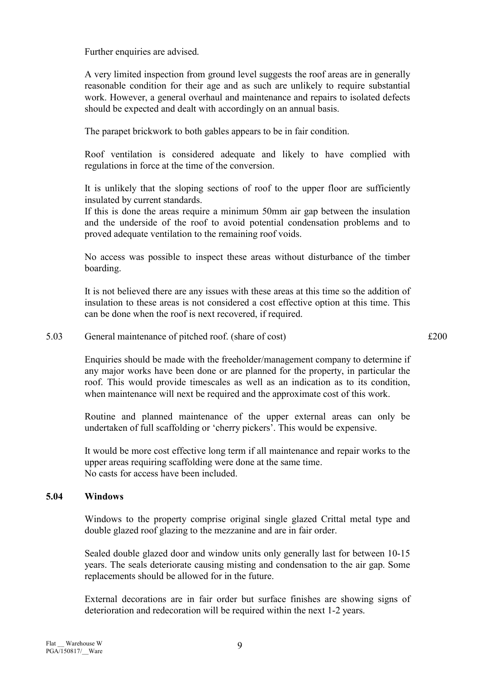Further enquiries are advised.

A very limited inspection from ground level suggests the roof areas are in generally reasonable condition for their age and as such are unlikely to require substantial work. However, a general overhaul and maintenance and repairs to isolated defects should be expected and dealt with accordingly on an annual basis.

The parapet brickwork to both gables appears to be in fair condition.

Roof ventilation is considered adequate and likely to have complied with regulations in force at the time of the conversion.

It is unlikely that the sloping sections of roof to the upper floor are sufficiently insulated by current standards.

If this is done the areas require a minimum 50mm air gap between the insulation and the underside of the roof to avoid potential condensation problems and to proved adequate ventilation to the remaining roof voids.

No access was possible to inspect these areas without disturbance of the timber boarding.

It is not believed there are any issues with these areas at this time so the addition of insulation to these areas is not considered a cost effective option at this time. This can be done when the roof is next recovered, if required.

#### 5.03 General maintenance of pitched roof. (share of cost)  $\pounds 200$

Enquiries should be made with the freeholder/management company to determine if any major works have been done or are planned for the property, in particular the roof. This would provide timescales as well as an indication as to its condition, when maintenance will next be required and the approximate cost of this work.

Routine and planned maintenance of the upper external areas can only be undertaken of full scaffolding or 'cherry pickers'. This would be expensive.

 It would be more cost effective long term if all maintenance and repair works to the upper areas requiring scaffolding were done at the same time. No casts for access have been included.

#### 5.04 Windows

Windows to the property comprise original single glazed Crittal metal type and double glazed roof glazing to the mezzanine and are in fair order.

Sealed double glazed door and window units only generally last for between 10-15 years. The seals deteriorate causing misting and condensation to the air gap. Some replacements should be allowed for in the future.

External decorations are in fair order but surface finishes are showing signs of deterioration and redecoration will be required within the next 1-2 years.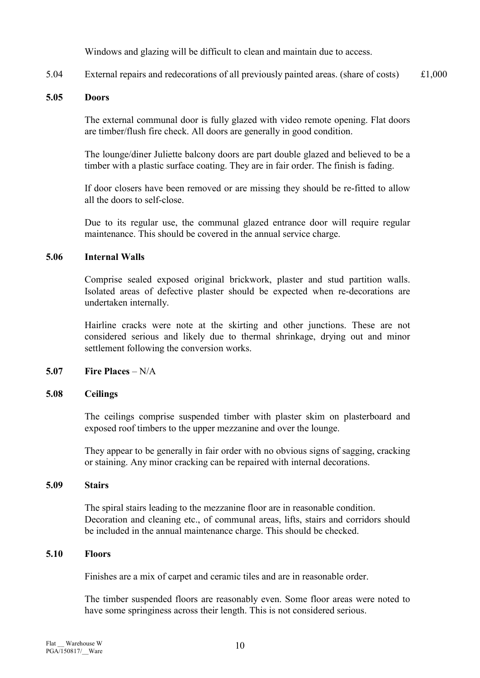Windows and glazing will be difficult to clean and maintain due to access.

5.04 External repairs and redecorations of all previously painted areas. (share of costs) £1,000

#### 5.05 Doors

The external communal door is fully glazed with video remote opening. Flat doors are timber/flush fire check. All doors are generally in good condition.

The lounge/diner Juliette balcony doors are part double glazed and believed to be a timber with a plastic surface coating. They are in fair order. The finish is fading.

If door closers have been removed or are missing they should be re-fitted to allow all the doors to self-close.

 Due to its regular use, the communal glazed entrance door will require regular maintenance. This should be covered in the annual service charge.

#### 5.06 Internal Walls

 Comprise sealed exposed original brickwork, plaster and stud partition walls. Isolated areas of defective plaster should be expected when re-decorations are undertaken internally.

 Hairline cracks were note at the skirting and other junctions. These are not considered serious and likely due to thermal shrinkage, drying out and minor settlement following the conversion works.

## 5.07 Fire Places – N/A

#### 5.08 Ceilings

 The ceilings comprise suspended timber with plaster skim on plasterboard and exposed roof timbers to the upper mezzanine and over the lounge.

 They appear to be generally in fair order with no obvious signs of sagging, cracking or staining. Any minor cracking can be repaired with internal decorations.

#### 5.09 Stairs

The spiral stairs leading to the mezzanine floor are in reasonable condition. Decoration and cleaning etc., of communal areas, lifts, stairs and corridors should be included in the annual maintenance charge. This should be checked.

#### 5.10 Floors

Finishes are a mix of carpet and ceramic tiles and are in reasonable order.

The timber suspended floors are reasonably even. Some floor areas were noted to have some springiness across their length. This is not considered serious.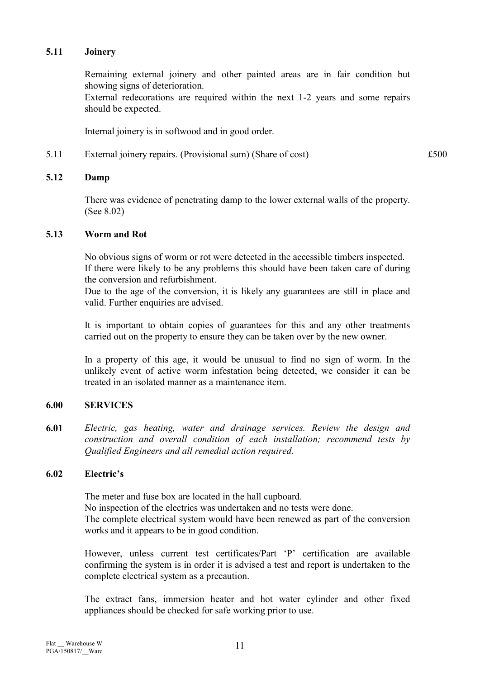#### 5.11 Joinery

Remaining external joinery and other painted areas are in fair condition but showing signs of deterioration. External redecorations are required within the next 1-2 years and some repairs

should be expected.

Internal joinery is in softwood and in good order.

5.11 External joinery repairs. (Provisional sum) (Share of cost)  $£500$ 

#### 5.12 Damp

There was evidence of penetrating damp to the lower external walls of the property. (See 8.02)

#### 5.13 Worm and Rot

No obvious signs of worm or rot were detected in the accessible timbers inspected. If there were likely to be any problems this should have been taken care of during the conversion and refurbishment.

Due to the age of the conversion, it is likely any guarantees are still in place and valid. Further enquiries are advised.

It is important to obtain copies of guarantees for this and any other treatments carried out on the property to ensure they can be taken over by the new owner.

In a property of this age, it would be unusual to find no sign of worm. In the unlikely event of active worm infestation being detected, we consider it can be treated in an isolated manner as a maintenance item.

## 6.00 SERVICES

6.01 Electric, gas heating, water and drainage services. Review the design and construction and overall condition of each installation; recommend tests by Qualified Engineers and all remedial action required.

#### 6.02 Electric's

The meter and fuse box are located in the hall cupboard. No inspection of the electrics was undertaken and no tests were done. The complete electrical system would have been renewed as part of the conversion works and it appears to be in good condition.

However, unless current test certificates/Part 'P' certification are available confirming the system is in order it is advised a test and report is undertaken to the complete electrical system as a precaution.

The extract fans, immersion heater and hot water cylinder and other fixed appliances should be checked for safe working prior to use.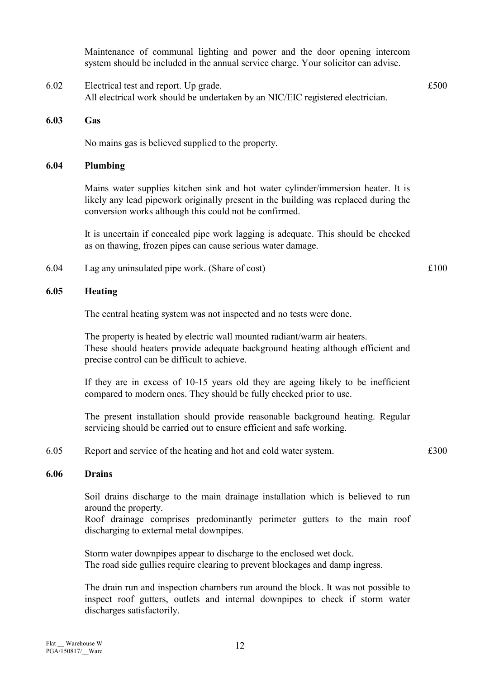Maintenance of communal lighting and power and the door opening intercom system should be included in the annual service charge. Your solicitor can advise.

- 6.02 Electrical test and report. Up grade. £500 All electrical work should be undertaken by an NIC/EIC registered electrician.
- 6.03 Gas

No mains gas is believed supplied to the property.

#### 6.04 Plumbing

Mains water supplies kitchen sink and hot water cylinder/immersion heater. It is likely any lead pipework originally present in the building was replaced during the conversion works although this could not be confirmed.

It is uncertain if concealed pipe work lagging is adequate. This should be checked as on thawing, frozen pipes can cause serious water damage.

6.04 Lag any uninsulated pipe work. (Share of cost) £100

#### 6.05 Heating

The central heating system was not inspected and no tests were done.

The property is heated by electric wall mounted radiant/warm air heaters. These should heaters provide adequate background heating although efficient and precise control can be difficult to achieve.

If they are in excess of 10-15 years old they are ageing likely to be inefficient compared to modern ones. They should be fully checked prior to use.

The present installation should provide reasonable background heating. Regular servicing should be carried out to ensure efficient and safe working.

6.05 Report and service of the heating and hot and cold water system.  $\pounds 300$ 

#### 6.06 Drains

 Soil drains discharge to the main drainage installation which is believed to run around the property.

Roof drainage comprises predominantly perimeter gutters to the main roof discharging to external metal downpipes.

Storm water downpipes appear to discharge to the enclosed wet dock. The road side gullies require clearing to prevent blockages and damp ingress.

The drain run and inspection chambers run around the block. It was not possible to inspect roof gutters, outlets and internal downpipes to check if storm water discharges satisfactorily.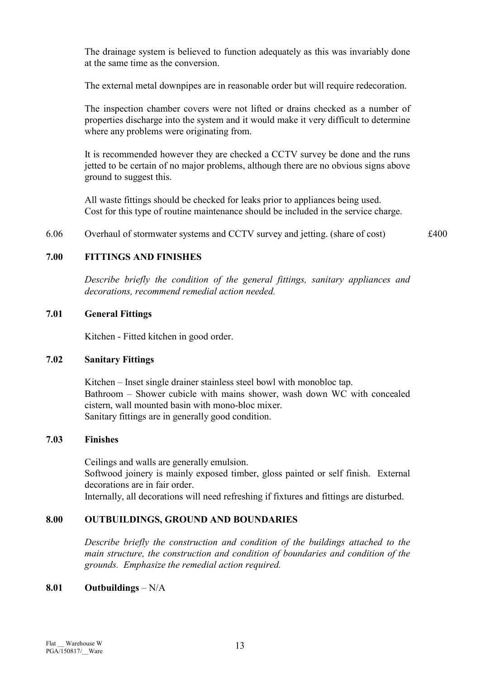The drainage system is believed to function adequately as this was invariably done at the same time as the conversion.

The external metal downpipes are in reasonable order but will require redecoration.

 The inspection chamber covers were not lifted or drains checked as a number of properties discharge into the system and it would make it very difficult to determine where any problems were originating from.

 It is recommended however they are checked a CCTV survey be done and the runs jetted to be certain of no major problems, although there are no obvious signs above ground to suggest this.

All waste fittings should be checked for leaks prior to appliances being used. Cost for this type of routine maintenance should be included in the service charge.

6.06 Overhaul of stormwater systems and CCTV survey and jetting. (share of cost) £400

#### 7.00 FITTINGS AND FINISHES

Describe briefly the condition of the general fittings, sanitary appliances and decorations, recommend remedial action needed.

#### 7.01 General Fittings

Kitchen - Fitted kitchen in good order.

#### 7.02 Sanitary Fittings

Kitchen – Inset single drainer stainless steel bowl with monobloc tap. Bathroom – Shower cubicle with mains shower, wash down WC with concealed cistern, wall mounted basin with mono-bloc mixer. Sanitary fittings are in generally good condition.

#### 7.03 Finishes

Ceilings and walls are generally emulsion. Softwood joinery is mainly exposed timber, gloss painted or self finish. External decorations are in fair order. Internally, all decorations will need refreshing if fixtures and fittings are disturbed.

#### 8.00 OUTBUILDINGS, GROUND AND BOUNDARIES

Describe briefly the construction and condition of the buildings attached to the main structure, the construction and condition of boundaries and condition of the grounds. Emphasize the remedial action required.

#### 8.01 Outbuildings  $-N/A$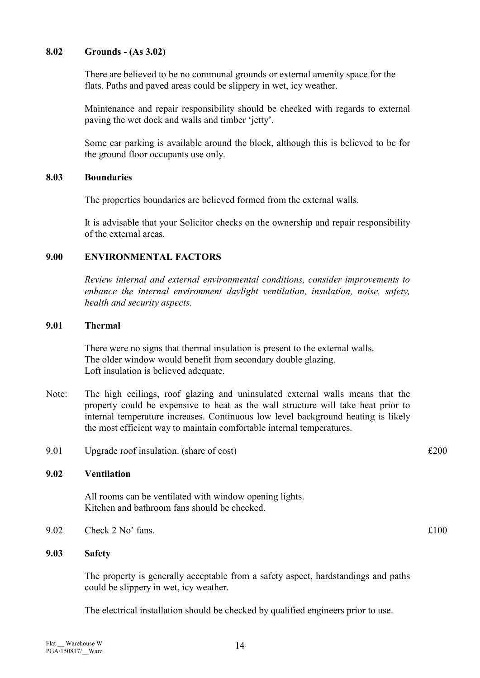#### 8.02 Grounds - (As 3.02)

There are believed to be no communal grounds or external amenity space for the flats. Paths and paved areas could be slippery in wet, icy weather.

 Maintenance and repair responsibility should be checked with regards to external paving the wet dock and walls and timber 'jetty'.

 Some car parking is available around the block, although this is believed to be for the ground floor occupants use only.

#### 8.03 Boundaries

The properties boundaries are believed formed from the external walls.

It is advisable that your Solicitor checks on the ownership and repair responsibility of the external areas.

#### 9.00 ENVIRONMENTAL FACTORS

Review internal and external environmental conditions, consider improvements to enhance the internal environment daylight ventilation, insulation, noise, safety, health and security aspects.

#### 9.01 Thermal

There were no signs that thermal insulation is present to the external walls. The older window would benefit from secondary double glazing. Loft insulation is believed adequate.

- Note: The high ceilings, roof glazing and uninsulated external walls means that the property could be expensive to heat as the wall structure will take heat prior to internal temperature increases. Continuous low level background heating is likely the most efficient way to maintain comfortable internal temperatures.
- 9.01 Upgrade roof insulation. (share of cost)  $\pounds 200$

#### 9.02 Ventilation

All rooms can be ventilated with window opening lights. Kitchen and bathroom fans should be checked.

9.02 Check 2 No' fans.  $\text{£}100$ 

## 9.03 Safety

The property is generally acceptable from a safety aspect, hardstandings and paths could be slippery in wet, icy weather.

The electrical installation should be checked by qualified engineers prior to use.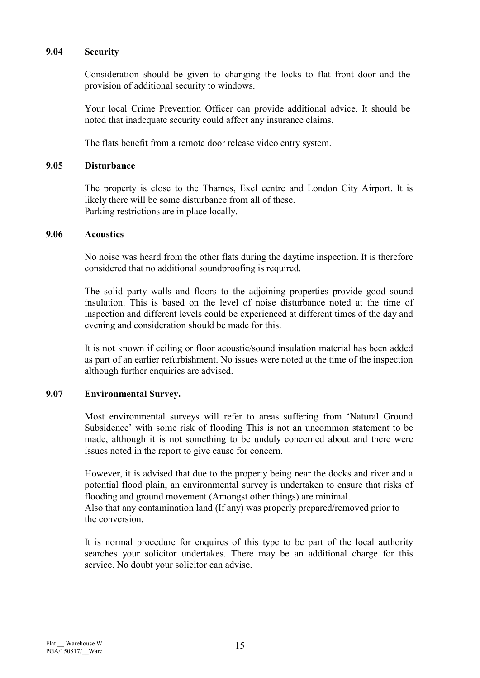#### 9.04 Security

Consideration should be given to changing the locks to flat front door and the provision of additional security to windows.

Your local Crime Prevention Officer can provide additional advice. It should be noted that inadequate security could affect any insurance claims.

The flats benefit from a remote door release video entry system.

#### 9.05 Disturbance

 The property is close to the Thames, Exel centre and London City Airport. It is likely there will be some disturbance from all of these. Parking restrictions are in place locally.

#### 9.06 Acoustics

 No noise was heard from the other flats during the daytime inspection. It is therefore considered that no additional soundproofing is required.

 The solid party walls and floors to the adjoining properties provide good sound insulation. This is based on the level of noise disturbance noted at the time of inspection and different levels could be experienced at different times of the day and evening and consideration should be made for this.

 It is not known if ceiling or floor acoustic/sound insulation material has been added as part of an earlier refurbishment. No issues were noted at the time of the inspection although further enquiries are advised.

#### 9.07 Environmental Survey.

 Most environmental surveys will refer to areas suffering from 'Natural Ground Subsidence' with some risk of flooding This is not an uncommon statement to be made, although it is not something to be unduly concerned about and there were issues noted in the report to give cause for concern.

 However, it is advised that due to the property being near the docks and river and a potential flood plain, an environmental survey is undertaken to ensure that risks of flooding and ground movement (Amongst other things) are minimal. Also that any contamination land (If any) was properly prepared/removed prior to

the conversion.

 It is normal procedure for enquires of this type to be part of the local authority searches your solicitor undertakes. There may be an additional charge for this service. No doubt your solicitor can advise.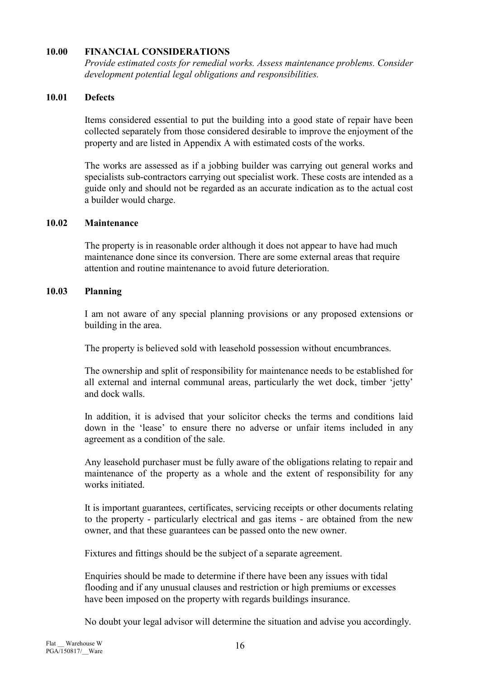#### 10.00 FINANCIAL CONSIDERATIONS

Provide estimated costs for remedial works. Assess maintenance problems. Consider development potential legal obligations and responsibilities.

#### 10.01 Defects

 Items considered essential to put the building into a good state of repair have been collected separately from those considered desirable to improve the enjoyment of the property and are listed in Appendix A with estimated costs of the works.

 The works are assessed as if a jobbing builder was carrying out general works and specialists sub-contractors carrying out specialist work. These costs are intended as a guide only and should not be regarded as an accurate indication as to the actual cost a builder would charge.

#### 10.02 Maintenance

 The property is in reasonable order although it does not appear to have had much maintenance done since its conversion. There are some external areas that require attention and routine maintenance to avoid future deterioration.

#### 10.03 Planning

 I am not aware of any special planning provisions or any proposed extensions or building in the area.

The property is believed sold with leasehold possession without encumbrances.

 The ownership and split of responsibility for maintenance needs to be established for all external and internal communal areas, particularly the wet dock, timber 'jetty' and dock walls.

 In addition, it is advised that your solicitor checks the terms and conditions laid down in the 'lease' to ensure there no adverse or unfair items included in any agreement as a condition of the sale.

 Any leasehold purchaser must be fully aware of the obligations relating to repair and maintenance of the property as a whole and the extent of responsibility for any works initiated.

 It is important guarantees, certificates, servicing receipts or other documents relating to the property - particularly electrical and gas items - are obtained from the new owner, and that these guarantees can be passed onto the new owner.

Fixtures and fittings should be the subject of a separate agreement.

 Enquiries should be made to determine if there have been any issues with tidal flooding and if any unusual clauses and restriction or high premiums or excesses have been imposed on the property with regards buildings insurance.

No doubt your legal advisor will determine the situation and advise you accordingly.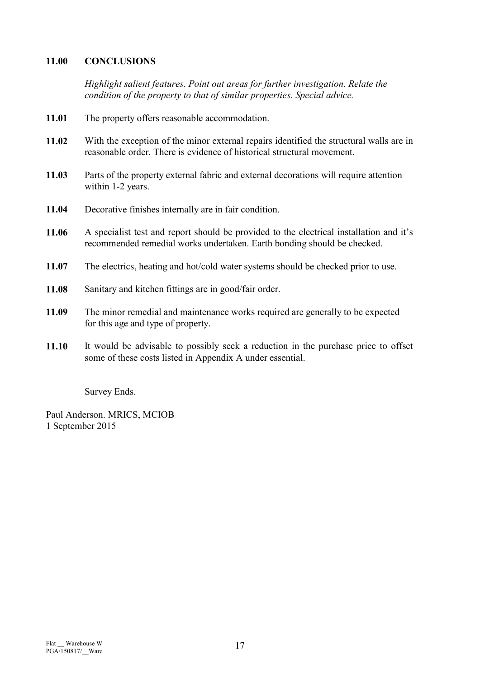## 11.00 CONCLUSIONS

Highlight salient features. Point out areas for further investigation. Relate the condition of the property to that of similar properties. Special advice.

- 11.01 The property offers reasonable accommodation.
- 11.02 With the exception of the minor external repairs identified the structural walls are in reasonable order. There is evidence of historical structural movement.
- 11.03 Parts of the property external fabric and external decorations will require attention within 1-2 years.
- 11.04 Decorative finishes internally are in fair condition.
- 11.06 A specialist test and report should be provided to the electrical installation and it's recommended remedial works undertaken. Earth bonding should be checked.
- 11.07 The electrics, heating and hot/cold water systems should be checked prior to use.
- 11.08 Sanitary and kitchen fittings are in good/fair order.
- 11.09 The minor remedial and maintenance works required are generally to be expected for this age and type of property.
- 11.10 It would be advisable to possibly seek a reduction in the purchase price to offset some of these costs listed in Appendix A under essential.

Survey Ends.

Paul Anderson. MRICS, MCIOB 1 September 2015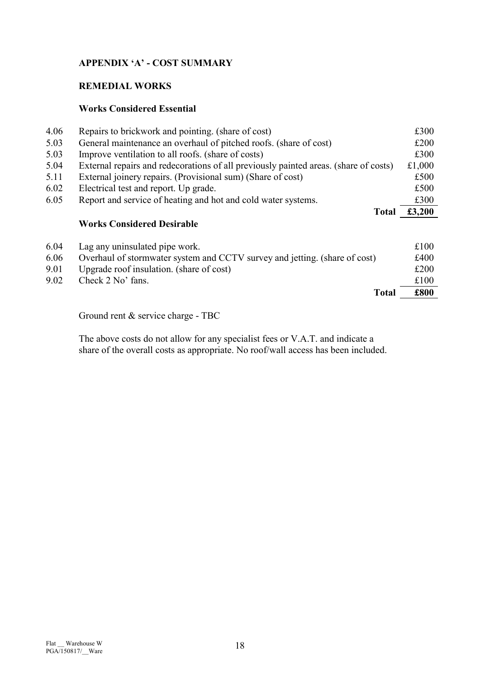## APPENDIX 'A' - COST SUMMARY

## REMEDIAL WORKS

## Works Considered Essential

| 4.06 | Repairs to brickwork and pointing. (share of cost)                                   | £300   |
|------|--------------------------------------------------------------------------------------|--------|
| 5.03 | General maintenance an overhaul of pitched roofs. (share of cost)                    | £200   |
| 5.03 | Improve ventilation to all roofs. (share of costs)                                   | £300   |
| 5.04 | External repairs and redecorations of all previously painted areas. (share of costs) | £1,000 |
| 5.11 | External joinery repairs. (Provisional sum) (Share of cost)                          | £500   |
| 6.02 | Electrical test and report. Up grade.                                                | £500   |
| 6.05 | Report and service of heating and hot and cold water systems.                        | £300   |
|      | <b>Total</b>                                                                         | £3,200 |
|      | <b>Works Considered Desirable</b>                                                    |        |
| 6.04 | Lag any uninsulated pipe work.                                                       | £100   |
| 6.06 | Overhaul of stormwater system and CCTV survey and jetting. (share of cost)           | £400   |
| 9.01 | Upgrade roof insulation. (share of cost)                                             | £200   |
| 9.02 | Check 2 No' fans.                                                                    | £100   |
|      | <b>Total</b>                                                                         | £800   |

Ground rent & service charge - TBC

 The above costs do not allow for any specialist fees or V.A.T. and indicate a share of the overall costs as appropriate. No roof/wall access has been included.